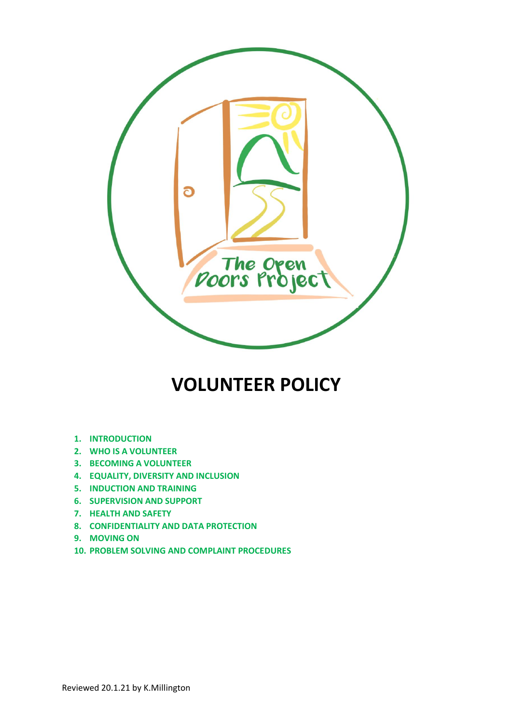

# **VOLUNTEER POLICY**

- **1. INTRODUCTION**
- **2. WHO IS A VOLUNTEER**
- **3. BECOMING A VOLUNTEER**
- **4. EQUALITY, DIVERSITY AND INCLUSION**
- **5. INDUCTION AND TRAINING**
- **6. SUPERVISION AND SUPPORT**
- **7. HEALTH AND SAFETY**
- **8. CONFIDENTIALITY AND DATA PROTECTION**
- **9. MOVING ON**
- **10. PROBLEM SOLVING AND COMPLAINT PROCEDURES**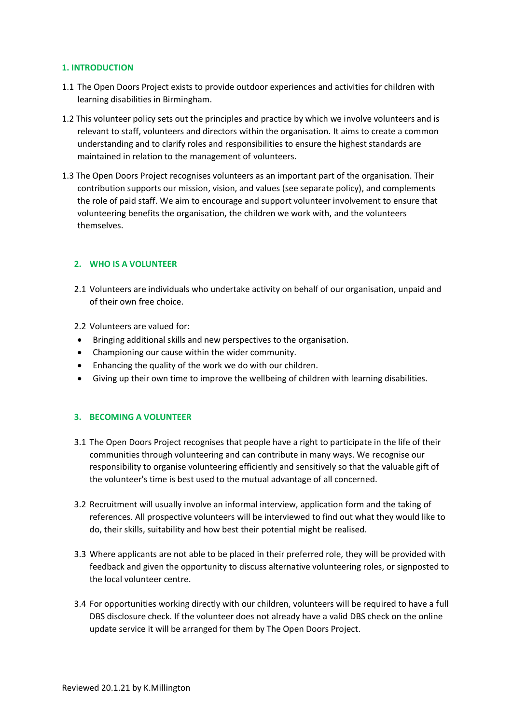#### **1. INTRODUCTION**

- 1.1 The Open Doors Project exists to provide outdoor experiences and activities for children with learning disabilities in Birmingham.
- 1.2 This volunteer policy sets out the principles and practice by which we involve volunteers and is relevant to staff, volunteers and directors within the organisation. It aims to create a common understanding and to clarify roles and responsibilities to ensure the highest standards are maintained in relation to the management of volunteers.
- 1.3 The Open Doors Project recognises volunteers as an important part of the organisation. Their contribution supports our mission, vision, and values (see separate policy), and complements the role of paid staff. We aim to encourage and support volunteer involvement to ensure that volunteering benefits the organisation, the children we work with, and the volunteers themselves.

# **2. WHO IS A VOLUNTEER**

2.1 Volunteers are individuals who undertake activity on behalf of our organisation, unpaid and of their own free choice.

2.2 Volunteers are valued for:

- Bringing additional skills and new perspectives to the organisation.
- Championing our cause within the wider community.
- Enhancing the quality of the work we do with our children.
- Giving up their own time to improve the wellbeing of children with learning disabilities.

# **3. BECOMING A VOLUNTEER**

- 3.1 The Open Doors Project recognises that people have a right to participate in the life of their communities through volunteering and can contribute in many ways. We recognise our responsibility to organise volunteering efficiently and sensitively so that the valuable gift of the volunteer's time is best used to the mutual advantage of all concerned.
- 3.2 Recruitment will usually involve an informal interview, application form and the taking of references. All prospective volunteers will be interviewed to find out what they would like to do, their skills, suitability and how best their potential might be realised.
- 3.3 Where applicants are not able to be placed in their preferred role, they will be provided with feedback and given the opportunity to discuss alternative volunteering roles, or signposted to the local volunteer centre.
- 3.4 For opportunities working directly with our children, volunteers will be required to have a full DBS disclosure check. If the volunteer does not already have a valid DBS check on the online update service it will be arranged for them by The Open Doors Project.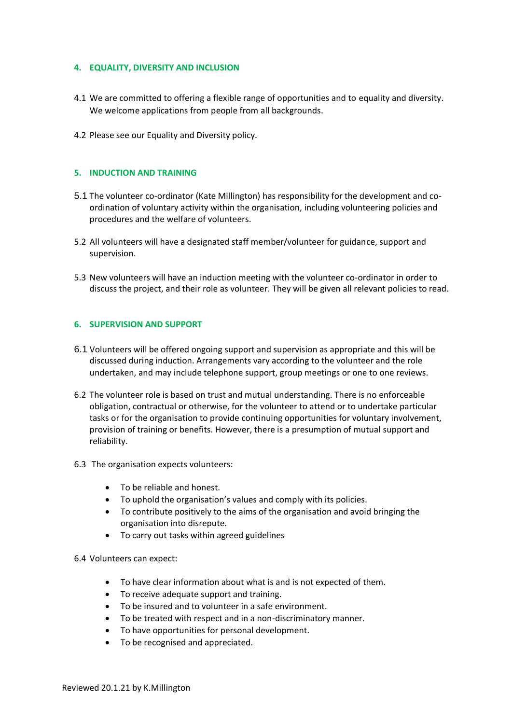# **4. EQUALITY, DIVERSITY AND INCLUSION**

- 4.1 We are committed to offering a flexible range of opportunities and to equality and diversity. We welcome applications from people from all backgrounds.
- 4.2 Please see our Equality and Diversity policy.

### **5. INDUCTION AND TRAINING**

- 5.1 The volunteer co-ordinator (Kate Millington) has responsibility for the development and coordination of voluntary activity within the organisation, including volunteering policies and procedures and the welfare of volunteers.
- 5.2 All volunteers will have a designated staff member/volunteer for guidance, support and supervision.
- 5.3 New volunteers will have an induction meeting with the volunteer co-ordinator in order to discuss the project, and their role as volunteer. They will be given all relevant policies to read.

#### **6. SUPERVISION AND SUPPORT**

- 6.1 Volunteers will be offered ongoing support and supervision as appropriate and this will be discussed during induction. Arrangements vary according to the volunteer and the role undertaken, and may include telephone support, group meetings or one to one reviews.
- 6.2 The volunteer role is based on trust and mutual understanding. There is no enforceable obligation, contractual or otherwise, for the volunteer to attend or to undertake particular tasks or for the organisation to provide continuing opportunities for voluntary involvement, provision of training or benefits. However, there is a presumption of mutual support and reliability.
- 6.3 The organisation expects volunteers:
	- To be reliable and honest.
	- To uphold the organisation's values and comply with its policies.
	- To contribute positively to the aims of the organisation and avoid bringing the organisation into disrepute.
	- To carry out tasks within agreed guidelines
- 6.4 Volunteers can expect:
	- To have clear information about what is and is not expected of them.
	- To receive adequate support and training.
	- To be insured and to volunteer in a safe environment.
	- To be treated with respect and in a non-discriminatory manner.
	- To have opportunities for personal development.
	- To be recognised and appreciated.